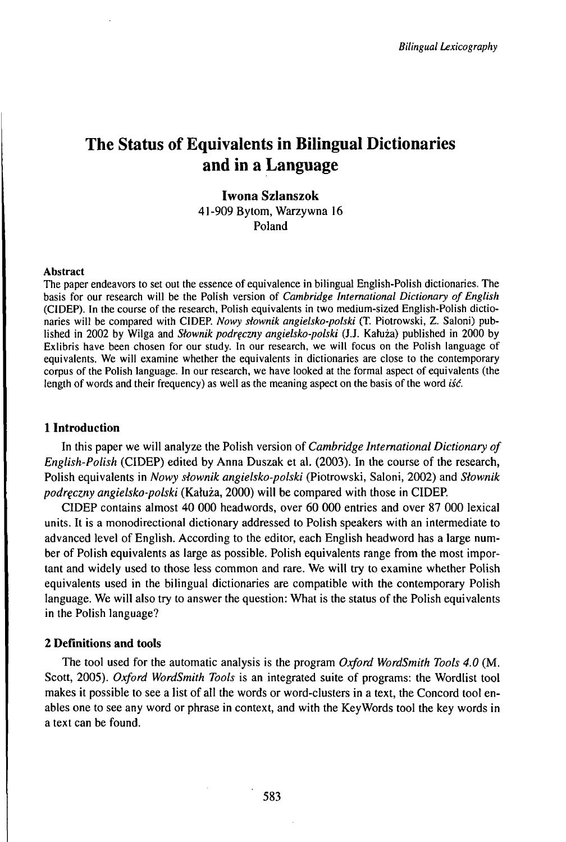# The Status of Equivalents in Bilingual Dictionaries and in a Language

# **Iwona Szlanszok** 41-909 Bytom, Warzywna 16 Poland

#### Abstract

The paper endeavors to set out the essence of equivalence in bilingual English-Polish dictionaries. The basis for our research will be the Polish version of *Cambridge International Dictionary of English* (CIDEP). In the course of the research, Polish equivalents in two medium-sized English-Polish dictionaries will be compared with CIDEP. *Nowy słownik angielsko-polski* (T. Piotrowski, Z. Saloni) published in <sup>2002</sup> by Wilga and *Słownik podręczny angielsko-polski* (J.J. Kahiża) published in <sup>2000</sup> by Exlibris have been chosen for our study. In our research, we will focus on the Polish language of equivalents. We will examine whether the equivalents in dictionaries are close to the contemporary corpus of the Polish language. In our research, we have looked at the formal aspect of equivalents (the length of words and their frequency) as well as the meaning aspect on the basis of the word *iść.*

### **1 Introduction**

In this paper we will analyze the Polish version of *Cambridge International Dictionary of English-Polish* (CIDEP) edited by Anna Duszak et al. (2003). In the course of the research, Polish equivalents in *Nowy słownik angielsko-polski* (Piotrowski, Saloni, 2002) and *Słownik podręczny angielsko-polski* (Kałuża, 2000) will be compared with those in CIDER

CIDEP contains almost 40 000 headwords, over 60 000 entries and over 87 000 lexical units. It is a monodirectional dictionary addressed to Polish speakers with an intermediate to advanced level of English. According to the editor, each English headword has a large number of Polish equivalents as large as possible. Polish equivalents range from the most important and widely used to those less common and rare. We will try to examine whether Polish equivalents used in the bilingual dictionaries are compatible with the contemporary Polish language. We will also try to answer the question: What is the status of the Polish equivalents in the Polish language?

## **2 Definitions and tools**

The tool used for the automatic analysis is the program *Oxford WordSmith Tools 4.0* (M. Scott, 2005). *Oxford WordSmith Tools* is an integrated suite of programs: the Wordlist tool makes it possible to see a list of all the words or word-clusters in a text, the Concord tool enables one to see any word or phrase in context, and with the KeyWords tool the key words in a text can be found.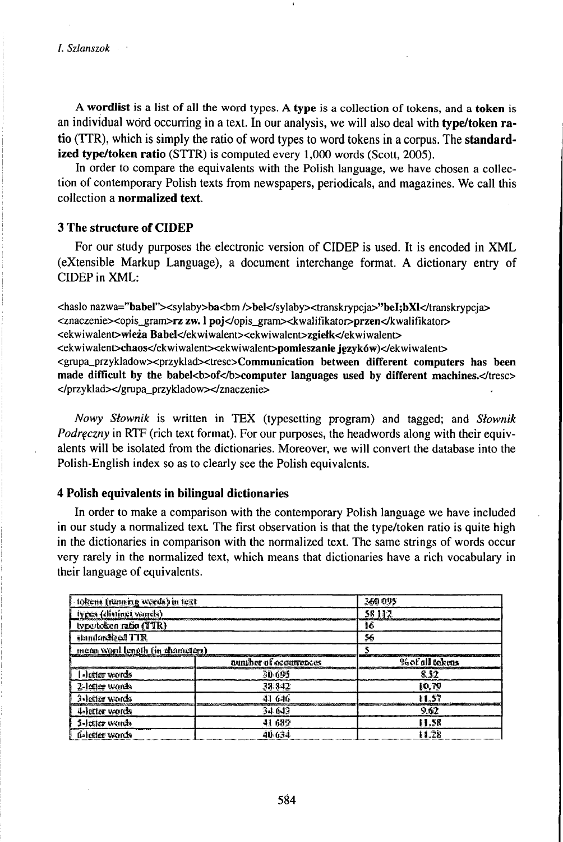A **wordlist** is a list of all the word types. A **type** is a collection of tokens, and a **token** is an individual word occurring in a text. In our analysis, we will also deal with **type/token ratio** (TTR), which is simply the ratio of word types to word tokens in a corpus. The **standardized type/token ratio** (STTR) is computed every 1,000 words (Scott, 2005).

In order to compare the equivalents with the Polish language, we have chosen a collection of contemporary Polish texts from newspapers, periodicals, and magazines. We call this collection a **normalized text.**

# **3 The structure of CIDEP**

For our study purposes the electronic version of CIDEP is used. It is encoded in XML (eXtensible Markup Language), a document interchange format. A dictionary entry of CIDEP in XML:

<haslo nazwa="babel"><sylaby>ba<br/>>bm />bel</sylaby><transkrypcja>"beI;bXl</transkrypcja> <znaczenie><opis\_gram>rz zw. <sup>1</sup> poj</opis\_gram><kwalifikator>przen</kwalifikator> <ekwiwalent>wieża Babel</ekwiwalent><ekwiwalent>zgiełk</ekwiwalent> <ekwiwalent>chaos</ekwiwalent><ekwiwalent>pomieszanie języków)</ekwiwalent> <grupa\_przykladow><przyklad><tresc>Communication between different computers has been made difficult by the babel<b>of</b>computer languages used by different machines.</tresc> </przyklad></grupa\_przykladow></znaczenie>

*Nowy Słownik* is written in TEX (typesetting program) and tagged; and *Słownik Podręczny* in RTF (rich text format). For our purposes, the headwords along with their equivalents will be isolated from the dictionaries. Moreover, we will convert the database into the Polish-English index so as to clearly see the Polish equivalents.

## **4 Polish equivalents in bilingual dictionaries**

In order to make a comparison with the contemporary Polish language we have included in our study a normalized text. The first observation is that the type/token ratio is quite high in the dictionaries in comparison with the normalized text. The same strings of words occur very rarely in the normalized text, which means that dictionaries have a rich vocabulary in their language of equivalents.

| lokens (running weeds) in text  |                       | 360.095          |  |
|---------------------------------|-----------------------|------------------|--|
| lypes (distinct yords)          |                       | 58.112           |  |
| type/teken ratio (TTR)          |                       | 16               |  |
| standardized TTR                |                       | 56               |  |
| ment word length (in chameters) |                       |                  |  |
|                                 | number of occurrences | 96 of all tokens |  |
| l»letter words                  | 30.695                | 8.52             |  |
| 2-letter words                  | 38 842                | 80. TO           |  |
| 3-letter words                  | 41 646                | <b>EL.ST</b>     |  |
| 4-letter words                  | 34 643                | 9.62             |  |
| 5-letter wands                  | 41.689                | 11.58            |  |
| føletter words                  | 40 G34                | ES TO            |  |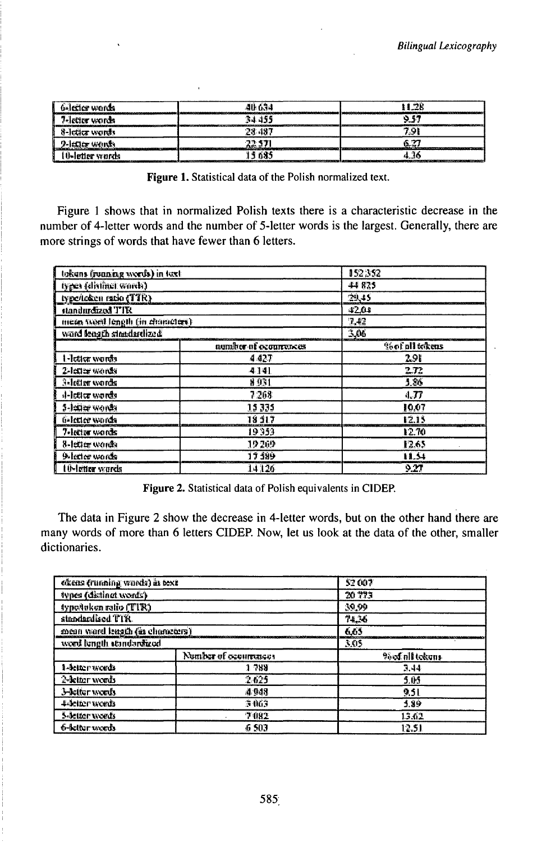| <b>Galerice words</b><br>الشاشان المترافظ المترافق الانا الزاري المترافقة |       | ,,,,,,,,,,,,,,,,,,,,, |
|---------------------------------------------------------------------------|-------|-----------------------|
| 7-letter words                                                            |       |                       |
| 8-letter words                                                            | -4465 | 7 O I                 |
| 2-ladar wando                                                             |       |                       |
| <b>O-letter words</b>                                                     | 5 685 |                       |

Figure 1. Statistical data of the Polish normalized text.

Figure 1 shows that in normalized Polish texts there is a characteristic decrease in the number of 4-letter words and the number of 5-letter words is the largest. Generally, there are more strings of words that have fewer than 6 letters.

| tokens (ronning words) in text. |                       | 152352                |  |
|---------------------------------|-----------------------|-----------------------|--|
| types (distinct words)          |                       | 44 825                |  |
| type/teken ratio (TTR)          |                       | 29,45                 |  |
| standurdized TTR                |                       | 42.01<br>7.43<br>3,06 |  |
| meta wed length (in characters) |                       |                       |  |
| ward length straidardized       |                       |                       |  |
|                                 | number of occurrences | %of all tokens        |  |
| I-Ittier words                  | 4.427                 | 291                   |  |
| 2-letter words                  | 4141                  | 2.72                  |  |
| 3-letter words                  | 8931                  | 4.86                  |  |
| d-letter words                  | 7 268                 | 4.77                  |  |
| 5-letter words                  | 1,5 335               | 10.07                 |  |
| ti-letter words                 | 18 917                | 12.15                 |  |
| 7-lector words                  | 19353                 | 12.70                 |  |
| 8-febber words                  | 19 269                | 13.65                 |  |
| 9-letter words                  | <b>17 189</b>         | 11.54                 |  |
| <b>10-letter words</b>          | 14126                 | 9.27                  |  |

Figure 2. Statistical data of Polish equivalents in CIDEP.

The data in Figure 2 show the decrease in 4-letter words, but on the other hand there are many words of more than 6 letters CIDEP. Now, let us look at the data of the other, smaller dictionaries.

| olens (running words) in text  |                       | 52 007          |  |
|--------------------------------|-----------------------|-----------------|--|
| types (distinct words)         |                       | 20773           |  |
| typošuken ratio (TIR)          |                       | 39.99           |  |
| standardised TTR.              |                       | 74.36<br>6.63   |  |
| mean ward length (in changers) |                       |                 |  |
| word bingth abindardized.      |                       | 3.05            |  |
|                                | Number of ecourrences | Poof all tekens |  |
| 1-detter words                 | 1 789                 | 3.44            |  |
| 2-letter words                 | 2.625                 | 5.05            |  |
| 3-letter words                 | 4.948                 | 9.51            |  |
| 4-deiter weeds                 | 3463                  | 5.89            |  |
| S-Jetter words                 | 7082                  | 15.62           |  |
| 6-kilor words                  | 46 SOI                | 12.51           |  |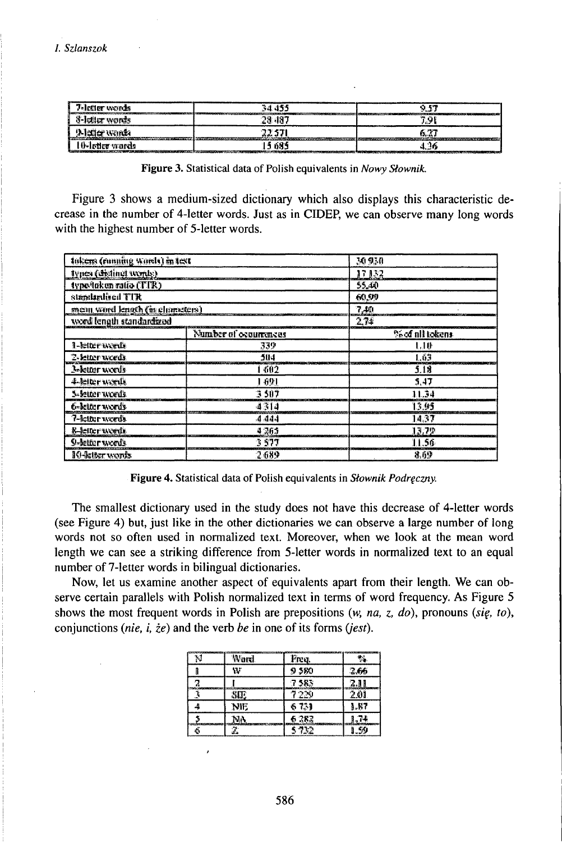| 7-letter words  |      |  |
|-----------------|------|--|
| ð-letter words  |      |  |
| 9-REEF WINDS    |      |  |
| 10-letter wards | -68* |  |

Figure 3. Statistical data of Polish equivalents in Nowy Słownik.

Figure 3 shows a medium-sized dictionary which also displays this characteristic decrease in the number of 4-letter words. Just as in CIDEP, we can observe many long words with the highest number of 5-letter words.

| tokens (running words) in test   |                       | 30930                |  |
|----------------------------------|-----------------------|----------------------|--|
| types (distinct words)           |                       | 17132                |  |
| typočaken ratio (TTR)            |                       | 55.40                |  |
| standardised TIR                 |                       | 60.99<br>7.M<br>2.74 |  |
| ment word length (in characters) |                       |                      |  |
| word length standardized         |                       |                      |  |
|                                  | Number of occurrences | %of all tokens       |  |
| 1-letter words                   | 339                   | 1.10F                |  |
| <b>2-letter words</b>            | 504                   | Lú3                  |  |
| 3-letter words                   | -602                  | 5.18                 |  |
| 4-kiter words                    | 1 691                 | 5,47                 |  |
| 3-letter words.                  | 3507                  | 11.34                |  |
| 6-letter words                   | 4314                  | 13.95                |  |
| 7-kitter words                   | -4 444                | 14.37                |  |
| <b>B-letter words</b><br>4.265   |                       | 13.79                |  |
| 9-letter words                   | 3 577                 | 11.56                |  |
| 10-latter words                  | 2.689                 | 8.69                 |  |

Figure 4. Statistical data of Polish equivalents in Słownik Podręczny.

The smallest dictionary used in the study does not have this decrease of 4-letter words (see Figure 4) but, just like in the other dictionaries we can observe a large number of long words not so often used in normalized text. Moreover, when we look at the mean word length we can see a striking difference from 5-letter words in normalized text to an equal number of 7-letter words in bilingual dictionaries.

Now, let us examine another aspect of equivalents apart from their length. We can observe certain parallels with Polish normalized text in terms of word frequency. As Figure 5 shows the most frequent words in Polish are prepositions  $(w, na, z, do)$ , pronouns (sig, to), conjunctions (*nie*, *i*,  $\dot{z}e$ ) and the verb be in one of its forms (*jest*).

| <b>Word</b>                   | Freq. | M    |
|-------------------------------|-------|------|
| W                             | 9 380 | 2.66 |
|                               | 7.583 | 2.11 |
|                               |       | 201  |
| NIE                           | 6731  | 1,87 |
|                               | 6 282 |      |
| <b><i><u>Property</u></i></b> | 5732  |      |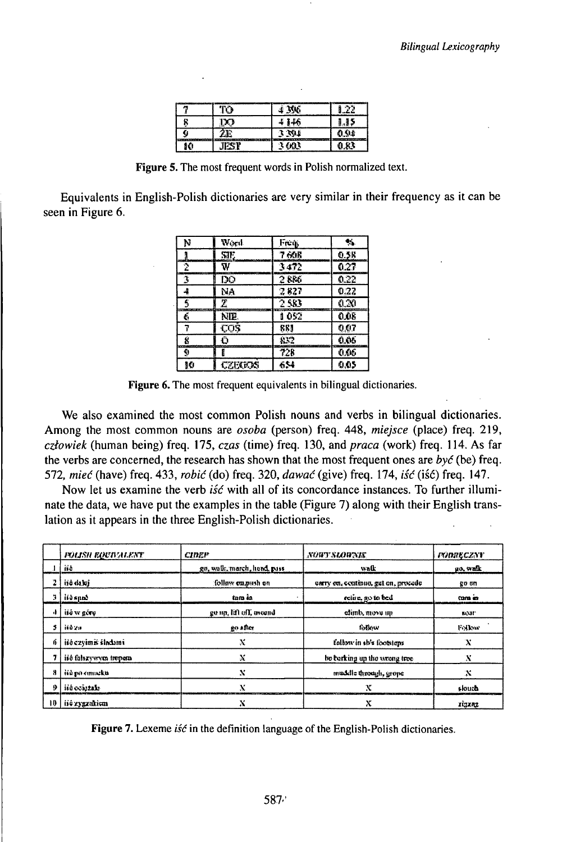|   |      | з     | e. |
|---|------|-------|----|
| m |      | - 115 |    |
|   | - 20 |       |    |
|   |      |       |    |

Figure 5. The most frequent words in Polish normalized text.

Equivalents in English-Polish dictionaries are very similar in their frequency as it can be seen in Figure 6.

| Ņ  | Word    | Freq  | ٩.   |
|----|---------|-------|------|
|    | SIE.    | 7 60R | 0.5R |
| 2  | W       | 3472  | 0.27 |
| 3  | D       | 2886  | 0.22 |
| 4  | NA      | 7827  | 0.22 |
| 3  | Ζ       | 2.583 | 0.30 |
| č  | NIP.    | 1 052 | 0.08 |
| 7  | COS.    | REJ   | 0.07 |
| Ś  | Õ       | 832   | 0.06 |
| ÿ  | E       | 728   | 0.06 |
| 10 | CZEXEOS | 654   | 0.05 |

Figure 6. The most frequent equivalents in bilingual dictionaries.

We also examined the most common Polish nouns and verbs in bilingual dictionaries. Among the most common nouns are *osoba* (person) freq. 448, *miejsce* (place) freq. 219, człowiek (human being) freq. 175, czas (time) freq. 130, and praca (work) freq. 114. As far the verbs are concerned, the research has shown that the most frequent ones are  $by\acute{c}$  (be) freq. 572, mieć (have) freq. 433, robić (do) freq. 320, dawać (give) freq. 174, iść (iść) freq. 147.

Now let us examine the verb is is with all of its concordance instances. To further illuminate the data, we have put the examples in the table (Figure 7) along with their English translation as it appears in the three English-Polish dictionaries.

| <b>FOUSH EQUIVALENT</b> | CIDEP                       | NURTSLOWNIE                         | <b>FUDRECZNY</b> |
|-------------------------|-----------------------------|-------------------------------------|------------------|
| iió                     | go, walk, march, head, pass | walk                                | go, walk         |
| iio daki                | follow ca.push on           | carry en, centinon, gut en, procede | go on            |
| ប៉ៃទំន្យស               | tom in                      | retire, go to bed                   | come en          |
| iió w góry              | ge up, lift off, mound      | edimb, move up                      | 843311           |
| ii0 2.1                 | 20 after                    | folkey                              | Follow           |
| iio czyimiś śladami     | x                           | follow in sb's footstem             | Х                |
| iiô falszywym trypem    | x                           | be barking up the wrong tree        | x                |
| iiù po connekti         | X                           | muddle through, grope               | Х                |
| ish ocaszak-            | v                           | x                                   | skuch            |
| iió zygzukicm           | X                           | х                                   | rigzaz           |

Figure 7. Lexeme *isć* in the definition language of the English-Polish dictionaries.